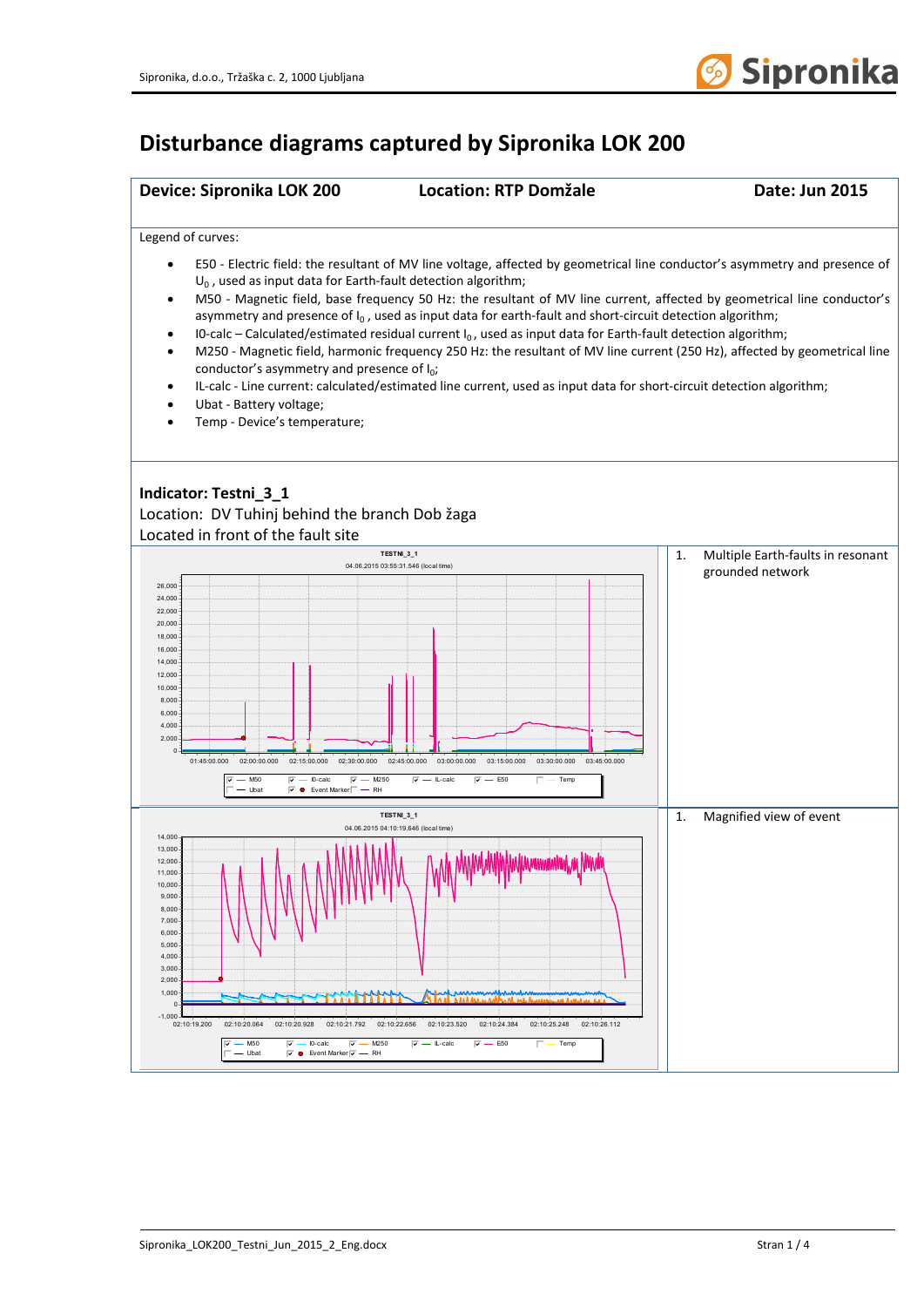

## **Disturbance diagrams captured by Sipronika LOK 200**

| Device: Sipronika LOK 200                                                                                                                                                                                                                                                                                                                                                                | <b>Location: RTP Domžale</b>                                                                                                                                                                                                                                                                                                                                                                                                                                                                                                                                                                                                                                                                                                                | Date: Jun 2015                                              |
|------------------------------------------------------------------------------------------------------------------------------------------------------------------------------------------------------------------------------------------------------------------------------------------------------------------------------------------------------------------------------------------|---------------------------------------------------------------------------------------------------------------------------------------------------------------------------------------------------------------------------------------------------------------------------------------------------------------------------------------------------------------------------------------------------------------------------------------------------------------------------------------------------------------------------------------------------------------------------------------------------------------------------------------------------------------------------------------------------------------------------------------------|-------------------------------------------------------------|
| Legend of curves:                                                                                                                                                                                                                                                                                                                                                                        |                                                                                                                                                                                                                                                                                                                                                                                                                                                                                                                                                                                                                                                                                                                                             |                                                             |
| ٠<br>$U_0$ , used as input data for Earth-fault detection algorithm;<br>$\bullet$<br>٠<br>$\bullet$<br>conductor's asymmetry and presence of $I_0$ ;<br>٠<br>Ubat - Battery voltage;<br>Temp - Device's temperature;<br>٠                                                                                                                                                                | E50 - Electric field: the resultant of MV line voltage, affected by geometrical line conductor's asymmetry and presence of<br>M50 - Magnetic field, base frequency 50 Hz: the resultant of MV line current, affected by geometrical line conductor's<br>asymmetry and presence of $I_0$ , used as input data for earth-fault and short-circuit detection algorithm;<br>IO-calc – Calculated/estimated residual current $I_0$ , used as input data for Earth-fault detection algorithm;<br>M250 - Magnetic field, harmonic frequency 250 Hz: the resultant of MV line current (250 Hz), affected by geometrical line<br>IL-calc - Line current: calculated/estimated line current, used as input data for short-circuit detection algorithm; |                                                             |
| Indicator: Testni_3_1<br>Location: DV Tuhinj behind the branch Dob žaga<br>Located in front of the fault site                                                                                                                                                                                                                                                                            | TESTNI_3_1                                                                                                                                                                                                                                                                                                                                                                                                                                                                                                                                                                                                                                                                                                                                  |                                                             |
| 26,000<br>24,000<br>22,000<br>20,000<br>18,000<br>16,000<br>14,000<br>12,000<br>10,000<br>8,000<br>6,000<br>4,000<br>2,000<br>$\mathbf 0$<br>01:45:00.000<br>02:00:00.000<br>02:15:00.000<br>02:30:00.000<br>$-M50$<br>$-$ 10-calc<br>$\overline{v}$ - M250<br>⊽<br>⊽ -<br>- Ubat<br>$\overline{\vee}$ $\bullet$ Event Marker $\Box$ - RH                                                | 04.06.2015 03:55:31.546 (local time)<br>02:45:00.000<br>03:00:00.000<br>03:15:00.000<br>03:30:00.000<br>03:45:00.000<br>$\overline{\mathsf{v}}$ $\mathsf{—}\ \mathsf{L}\text{-}\mathsf{calc}$<br>$\overline{v}$ – E50<br>$\Box$ - Temp                                                                                                                                                                                                                                                                                                                                                                                                                                                                                                      | 1.<br>Multiple Earth-faults in resonant<br>grounded network |
| 14,000<br>13,000<br>12,000<br>11,000<br>$10,000 -$<br>9,000<br>8,000<br>7,000<br>6,000<br>5,000<br>4,000<br>$3,000 -$<br>2,000<br>1,000<br>$\mathbf 0$<br>$-1,000 -$<br>02:10:19.200<br>02:10:20064<br>$\overline{v}$ $-$ M250<br>$\overline{v}$ – M50<br>$\overline{v}$ $-$ 10-calc<br>$\overline{\vee}$ $\bullet$ Event Marker $\overline{\vee}$ $\overline{\cdots}$ RH<br>$\Box$ Uhat | TESTNI_3_1<br>04.06.2015 04:10:19.646 (local time)<br><u> 1955 - 1955 - 1955 - 1955 - 1955 - 1955 - 1955 - 1955 - 1955 - 1955 - 1955 - 1955 - 1955 - 1955 - 1955 - 195</u><br>02:10:20.928 02:10:21.792 02:10:22.656 02:10:23.520 02:10:24.384 02:10:25.248 02:10:26.112<br>$\overline{v}$ $-$ L-calc<br>$\overline{v}$ $-$ E50<br>$\Box$ $-$ Temp                                                                                                                                                                                                                                                                                                                                                                                          | 1.<br>Magnified view of event                               |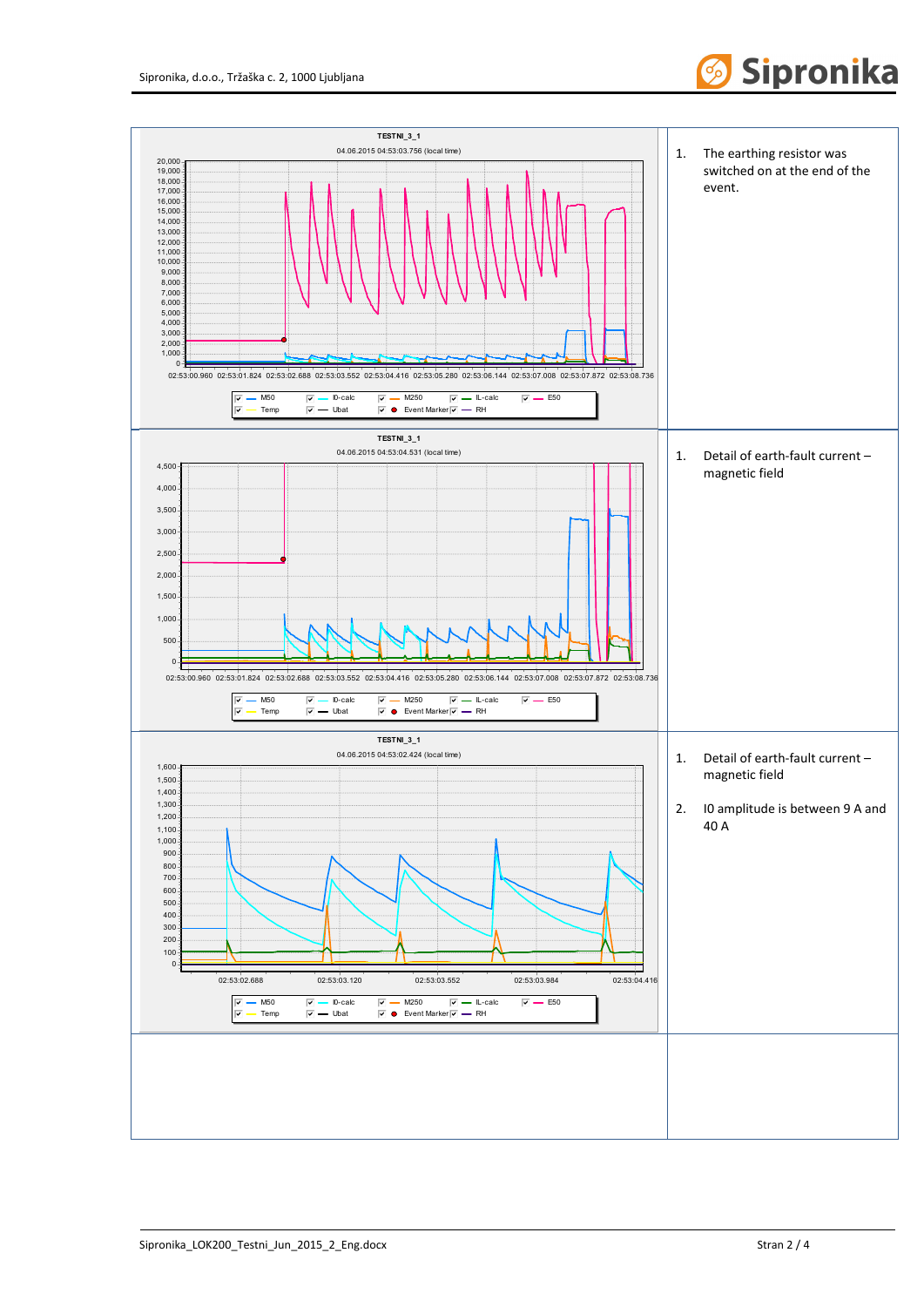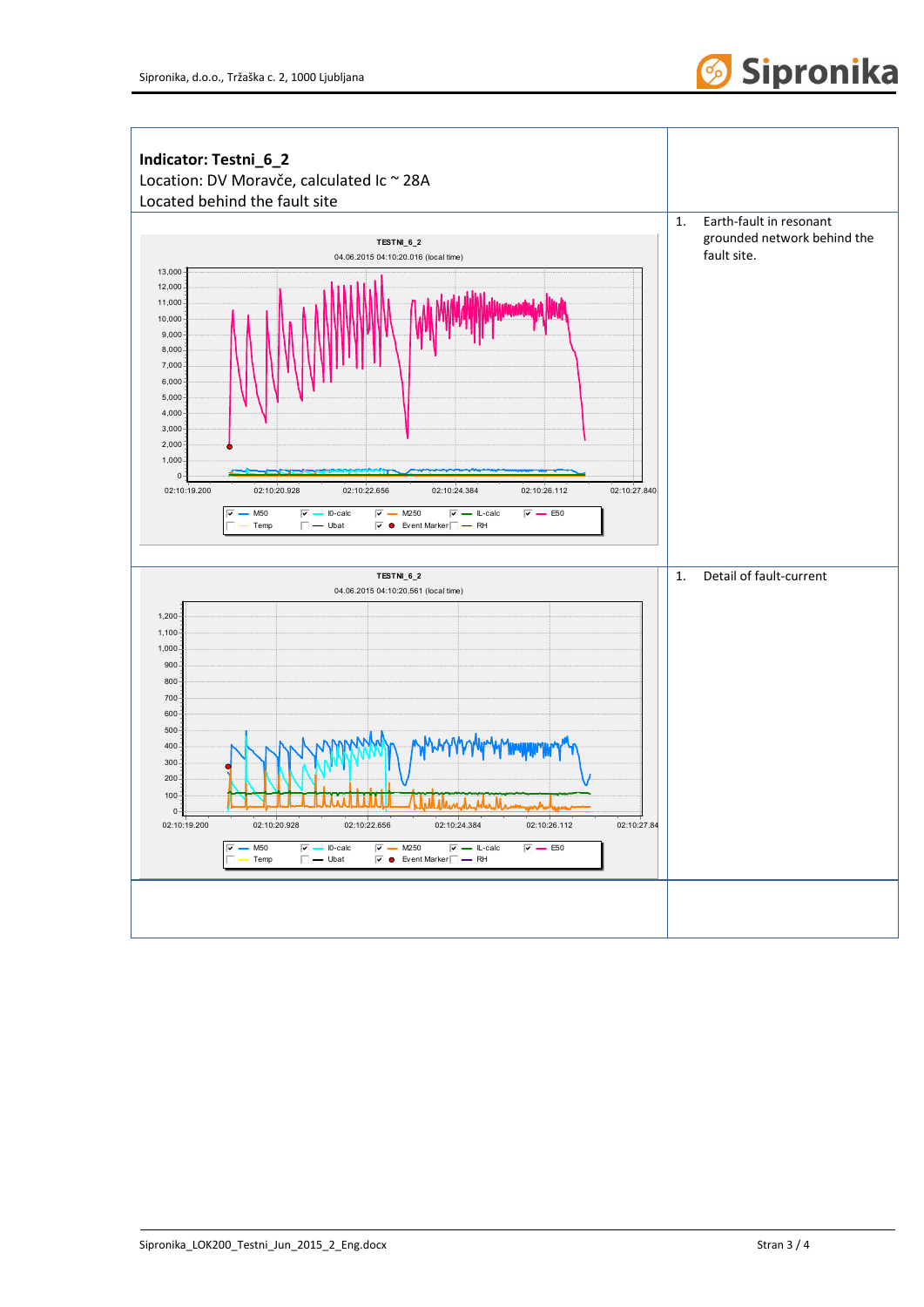